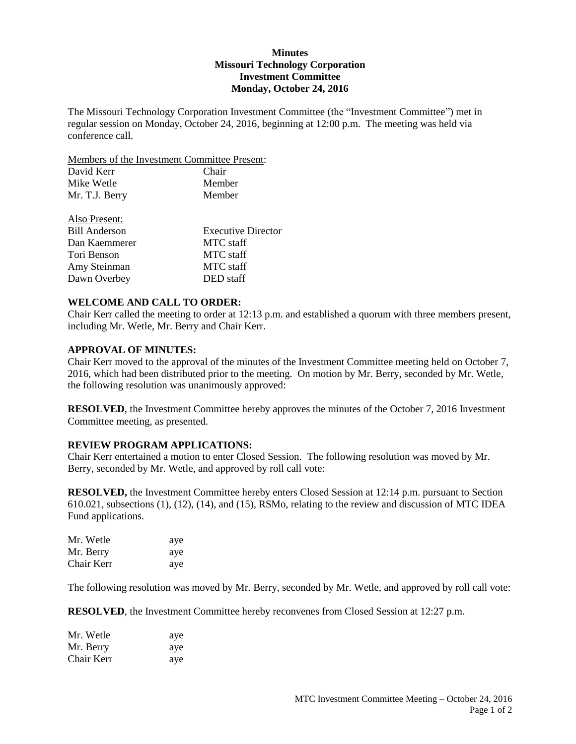## **Minutes Missouri Technology Corporation Investment Committee Monday, October 24, 2016**

The Missouri Technology Corporation Investment Committee (the "Investment Committee") met in regular session on Monday, October 24, 2016, beginning at 12:00 p.m. The meeting was held via conference call.

Members of the Investment Committee Present:

| David Kerr     | Chair  |
|----------------|--------|
| Mike Wetle     | Member |
| Mr. T.J. Berry | Member |
| Also Present:  |        |

| $1.100 \pm 1000$     |                           |
|----------------------|---------------------------|
| <b>Bill Anderson</b> | <b>Executive Director</b> |
| Dan Kaemmerer        | <b>MTC</b> staff          |
| Tori Benson          | MTC staff                 |
| Amy Steinman         | MTC staff                 |
| Dawn Overbey         | DED staff                 |

## **WELCOME AND CALL TO ORDER:**

Chair Kerr called the meeting to order at 12:13 p.m. and established a quorum with three members present, including Mr. Wetle, Mr. Berry and Chair Kerr.

## **APPROVAL OF MINUTES:**

Chair Kerr moved to the approval of the minutes of the Investment Committee meeting held on October 7, 2016, which had been distributed prior to the meeting. On motion by Mr. Berry, seconded by Mr. Wetle, the following resolution was unanimously approved:

**RESOLVED**, the Investment Committee hereby approves the minutes of the October 7, 2016 Investment Committee meeting, as presented.

## **REVIEW PROGRAM APPLICATIONS:**

Chair Kerr entertained a motion to enter Closed Session. The following resolution was moved by Mr. Berry, seconded by Mr. Wetle, and approved by roll call vote:

**RESOLVED,** the Investment Committee hereby enters Closed Session at 12:14 p.m. pursuant to Section 610.021, subsections (1), (12), (14), and (15), RSMo, relating to the review and discussion of MTC IDEA Fund applications.

| Mr. Wetle  | aye |
|------------|-----|
| Mr. Berry  | aye |
| Chair Kerr | aye |

The following resolution was moved by Mr. Berry, seconded by Mr. Wetle, and approved by roll call vote:

**RESOLVED**, the Investment Committee hereby reconvenes from Closed Session at 12:27 p.m.

| Mr. Wetle  | aye |
|------------|-----|
| Mr. Berry  | aye |
| Chair Kerr | ave |